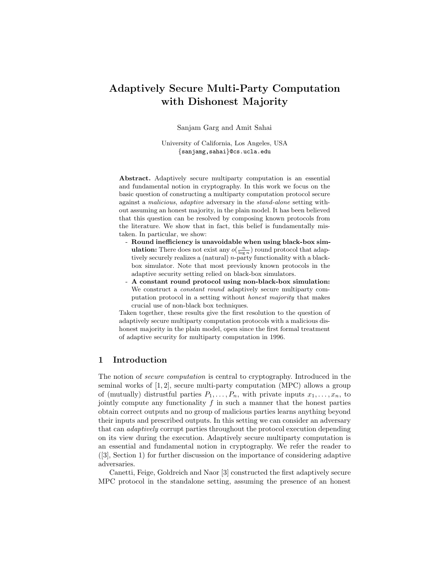# Adaptively Secure Multi-Party Computation with Dishonest Majority

Sanjam Garg and Amit Sahai

University of California, Los Angeles, USA {sanjamg,sahai}@cs.ucla.edu

Abstract. Adaptively secure multiparty computation is an essential and fundamental notion in cryptography. In this work we focus on the basic question of constructing a multiparty computation protocol secure against a malicious, adaptive adversary in the stand-alone setting without assuming an honest majority, in the plain model. It has been believed that this question can be resolved by composing known protocols from the literature. We show that in fact, this belief is fundamentally mistaken. In particular, we show:

- Round inefficiency is unavoidable when using black-box sim**ulation:** There does not exist any  $o(\frac{n}{\log n})$  round protocol that adaptively securely realizes a (natural) n-party functionality with a blackbox simulator. Note that most previously known protocols in the adaptive security setting relied on black-box simulators.
- A constant round protocol using non-black-box simulation: We construct a constant round adaptively secure multiparty computation protocol in a setting without honest majority that makes crucial use of non-black box techniques.

Taken together, these results give the first resolution to the question of adaptively secure multiparty computation protocols with a malicious dishonest majority in the plain model, open since the first formal treatment of adaptive security for multiparty computation in 1996.

## 1 Introduction

The notion of secure computation is central to cryptography. Introduced in the seminal works of [1, 2], secure multi-party computation (MPC) allows a group of (mutually) distrustful parties  $P_1, \ldots, P_n$ , with private inputs  $x_1, \ldots, x_n$ , to jointly compute any functionality  $f$  in such a manner that the honest parties obtain correct outputs and no group of malicious parties learns anything beyond their inputs and prescribed outputs. In this setting we can consider an adversary that can adaptively corrupt parties throughout the protocol execution depending on its view during the execution. Adaptively secure multiparty computation is an essential and fundamental notion in cryptography. We refer the reader to ([3], Section 1) for further discussion on the importance of considering adaptive adversaries.

Canetti, Feige, Goldreich and Naor [3] constructed the first adaptively secure MPC protocol in the standalone setting, assuming the presence of an honest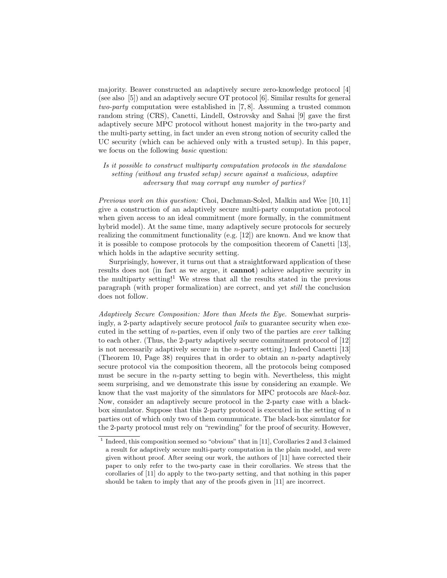majority. Beaver constructed an adaptively secure zero-knowledge protocol [4] (see also [5]) and an adaptively secure OT protocol [6]. Similar results for general two-party computation were established in [7, 8]. Assuming a trusted common random string (CRS), Canetti, Lindell, Ostrovsky and Sahai [9] gave the first adaptively secure MPC protocol without honest majority in the two-party and the multi-party setting, in fact under an even strong notion of security called the UC security (which can be achieved only with a trusted setup). In this paper, we focus on the following basic question:

## Is it possible to construct multiparty computation protocols in the standalone setting (without any trusted setup) secure against a malicious, adaptive adversary that may corrupt any number of parties?

Previous work on this question: Choi, Dachman-Soled, Malkin and Wee [10, 11] give a construction of an adaptively secure multi-party computation protocol when given access to an ideal commitment (more formally, in the commitment hybrid model). At the same time, many adaptively secure protocols for securely realizing the commitment functionality (e.g. [12]) are known. And we know that it is possible to compose protocols by the composition theorem of Canetti [13], which holds in the adaptive security setting.

Surprisingly, however, it turns out that a straightforward application of these results does not (in fact as we argue, it cannot) achieve adaptive security in the multiparty setting!<sup>1</sup> We stress that all the results stated in the previous paragraph (with proper formalization) are correct, and yet still the conclusion does not follow.

Adaptively Secure Composition: More than Meets the Eye. Somewhat surprisingly, a 2-party adaptively secure protocol fails to guarantee security when executed in the setting of  $n$ -parties, even if only two of the parties are *ever* talking to each other. (Thus, the 2-party adaptively secure commitment protocol of [12] is not necessarily adaptively secure in the n-party setting.) Indeed Canetti [13] (Theorem 10, Page 38) requires that in order to obtain an *n*-party adaptively secure protocol via the composition theorem, all the protocols being composed must be secure in the  $n$ -party setting to begin with. Nevertheless, this might seem surprising, and we demonstrate this issue by considering an example. We know that the vast majority of the simulators for MPC protocols are black-box. Now, consider an adaptively secure protocol in the 2-party case with a blackbox simulator. Suppose that this 2-party protocol is executed in the setting of  $n$ parties out of which only two of them communicate. The black-box simulator for the 2-party protocol must rely on "rewinding" for the proof of security. However,

<sup>&</sup>lt;sup>1</sup> Indeed, this composition seemed so "obvious" that in [11], Corollaries 2 and 3 claimed a result for adaptively secure multi-party computation in the plain model, and were given without proof. After seeing our work, the authors of [11] have corrected their paper to only refer to the two-party case in their corollaries. We stress that the corollaries of [11] do apply to the two-party setting, and that nothing in this paper should be taken to imply that any of the proofs given in [11] are incorrect.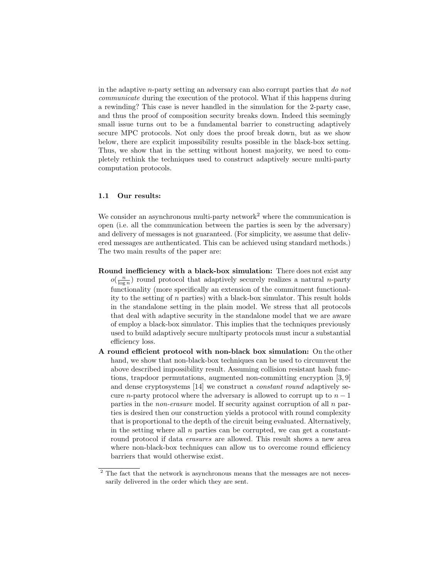in the adaptive n-party setting an adversary can also corrupt parties that do not communicate during the execution of the protocol. What if this happens during a rewinding? This case is never handled in the simulation for the 2-party case, and thus the proof of composition security breaks down. Indeed this seemingly small issue turns out to be a fundamental barrier to constructing adaptively secure MPC protocols. Not only does the proof break down, but as we show below, there are explicit impossibility results possible in the black-box setting. Thus, we show that in the setting without honest majority, we need to completely rethink the techniques used to construct adaptively secure multi-party computation protocols.

#### 1.1 Our results:

We consider an asynchronous multi-party network<sup>2</sup> where the communication is open (i.e. all the communication between the parties is seen by the adversary) and delivery of messages is not guaranteed. (For simplicity, we assume that delivered messages are authenticated. This can be achieved using standard methods.) The two main results of the paper are:

- Round inefficiency with a black-box simulation: There does not exist any  $o(\frac{n}{\log n})$  round protocol that adaptively securely realizes a natural *n*-party functionality (more specifically an extension of the commitment functionality to the setting of n parties) with a black-box simulator. This result holds in the standalone setting in the plain model. We stress that all protocols that deal with adaptive security in the standalone model that we are aware of employ a black-box simulator. This implies that the techniques previously used to build adaptively secure multiparty protocols must incur a substantial efficiency loss.
- A round efficient protocol with non-black box simulation: On the other hand, we show that non-black-box techniques can be used to circumvent the above described impossibility result. Assuming collision resistant hash functions, trapdoor permutations, augmented non-committing encryption [3, 9] and dense cryptosystems [14] we construct a constant round adaptively secure n-party protocol where the adversary is allowed to corrupt up to  $n-1$ parties in the *non-erasure* model. If security against corruption of all  $n$  parties is desired then our construction yields a protocol with round complexity that is proportional to the depth of the circuit being evaluated. Alternatively, in the setting where all  $n$  parties can be corrupted, we can get a constantround protocol if data *erasures* are allowed. This result shows a new area where non-black-box techniques can allow us to overcome round efficiency barriers that would otherwise exist.

 $^{\rm 2}$  The fact that the network is asynchronous means that the messages are not necessarily delivered in the order which they are sent.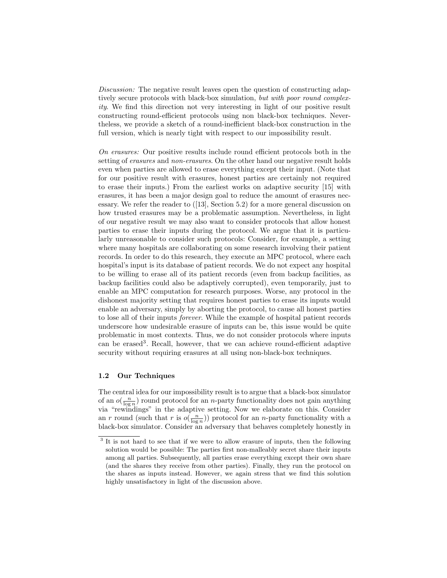Discussion: The negative result leaves open the question of constructing adaptively secure protocols with black-box simulation, but with poor round complexity. We find this direction not very interesting in light of our positive result constructing round-efficient protocols using non black-box techniques. Nevertheless, we provide a sketch of a round-inefficient black-box construction in the full version, which is nearly tight with respect to our impossibility result.

On erasures: Our positive results include round efficient protocols both in the setting of erasures and non-erasures. On the other hand our negative result holds even when parties are allowed to erase everything except their input. (Note that for our positive result with erasures, honest parties are certainly not required to erase their inputs.) From the earliest works on adaptive security [15] with erasures, it has been a major design goal to reduce the amount of erasures necessary. We refer the reader to ([13], Section 5.2) for a more general discussion on how trusted erasures may be a problematic assumption. Nevertheless, in light of our negative result we may also want to consider protocols that allow honest parties to erase their inputs during the protocol. We argue that it is particularly unreasonable to consider such protocols: Consider, for example, a setting where many hospitals are collaborating on some research involving their patient records. In order to do this research, they execute an MPC protocol, where each hospital's input is its database of patient records. We do not expect any hospital to be willing to erase all of its patient records (even from backup facilities, as backup facilities could also be adaptively corrupted), even temporarily, just to enable an MPC computation for research purposes. Worse, any protocol in the dishonest majority setting that requires honest parties to erase its inputs would enable an adversary, simply by aborting the protocol, to cause all honest parties to lose all of their inputs forever. While the example of hospital patient records underscore how undesirable erasure of inputs can be, this issue would be quite problematic in most contexts. Thus, we do not consider protocols where inputs can be erased<sup>3</sup> . Recall, however, that we can achieve round-efficient adaptive security without requiring erasures at all using non-black-box techniques.

#### 1.2 Our Techniques

The central idea for our impossibility result is to argue that a black-box simulator of an  $o(\frac{n}{\log n})$  round protocol for an *n*-party functionality does not gain anything of an  $v_{\lfloor \log n \rfloor}$  found protocol for an *n*-party functionally does not gain any limit via "rewindings" in the adaptive setting. Now we elaborate on this. Consider an r round (such that r is  $o(\frac{n}{\log n})$ ) protocol for an n-party functionality with a black-box simulator. Consider an adversary that behaves completely honestly in

<sup>&</sup>lt;sup>3</sup> It is not hard to see that if we were to allow erasure of inputs, then the following solution would be possible: The parties first non-malleably secret share their inputs among all parties. Subsequently, all parties erase everything except their own share (and the shares they receive from other parties). Finally, they run the protocol on the shares as inputs instead. However, we again stress that we find this solution highly unsatisfactory in light of the discussion above.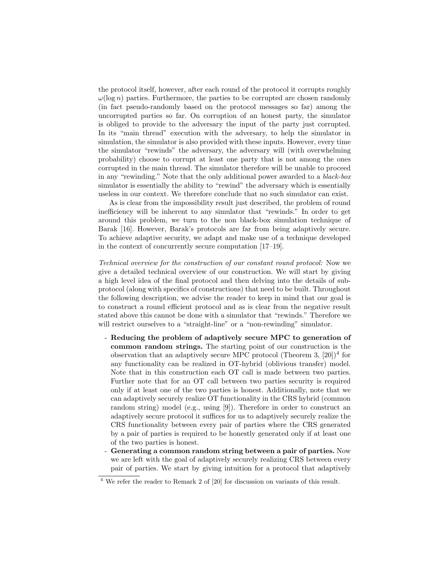the protocol itself, however, after each round of the protocol it corrupts roughly  $\omega(\log n)$  parties. Furthermore, the parties to be corrupted are chosen randomly (in fact pseudo-randomly based on the protocol messages so far) among the uncorrupted parties so far. On corruption of an honest party, the simulator is obliged to provide to the adversary the input of the party just corrupted. In its "main thread" execution with the adversary, to help the simulator in simulation, the simulator is also provided with these inputs. However, every time the simulator "rewinds" the adversary, the adversary will (with overwhelming probability) choose to corrupt at least one party that is not among the ones corrupted in the main thread. The simulator therefore will be unable to proceed in any "rewinding." Note that the only additional power awarded to a black-box simulator is essentially the ability to "rewind" the adversary which is essentially useless in our context. We therefore conclude that no such simulator can exist.

As is clear from the impossibility result just described, the problem of round inefficiency will be inherent to any simulator that "rewinds." In order to get around this problem, we turn to the non black-box simulation technique of Barak [16]. However, Barak's protocols are far from being adaptively secure. To achieve adaptive security, we adapt and make use of a technique developed in the context of concurrently secure computation [17–19].

Technical overview for the construction of our constant round protocol: Now we give a detailed technical overview of our construction. We will start by giving a high level idea of the final protocol and then delving into the details of subprotocol (along with specifics of constructions) that need to be built. Throughout the following description, we advise the reader to keep in mind that our goal is to construct a round efficient protocol and as is clear from the negative result stated above this cannot be done with a simulator that "rewinds." Therefore we will restrict ourselves to a "straight-line" or a "non-rewinding" simulator.

- Reducing the problem of adaptively secure MPC to generation of common random strings. The starting point of our construction is the observation that an adaptively secure MPC protocol (Theorem 3,  $[20]$ <sup>4</sup> for any functionality can be realized in OT-hybrid (oblivious transfer) model. Note that in this construction each OT call is made between two parties. Further note that for an OT call between two parties security is required only if at least one of the two parties is honest. Additionally, note that we can adaptively securely realize OT functionality in the CRS hybrid (common random string) model (e.g., using [9]). Therefore in order to construct an adaptively secure protocol it suffices for us to adaptively securely realize the CRS functionality between every pair of parties where the CRS generated by a pair of parties is required to be honestly generated only if at least one of the two parties is honest.
- Generating a common random string between a pair of parties. Now we are left with the goal of adaptively securely realizing CRS between every pair of parties. We start by giving intuition for a protocol that adaptively

<sup>4</sup> We refer the reader to Remark 2 of [20] for discussion on variants of this result.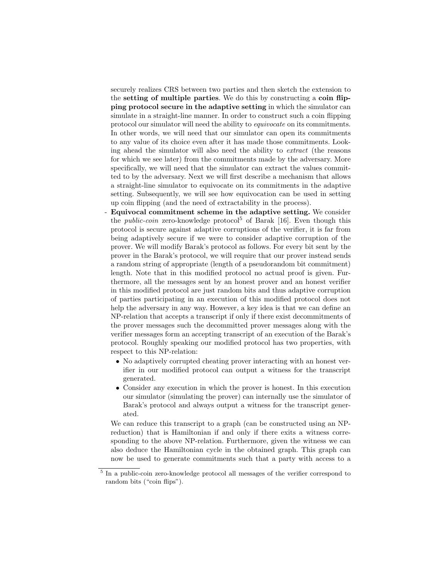securely realizes CRS between two parties and then sketch the extension to the setting of multiple parties. We do this by constructing a coin flipping protocol secure in the adaptive setting in which the simulator can simulate in a straight-line manner. In order to construct such a coin flipping protocol our simulator will need the ability to equivocate on its commitments. In other words, we will need that our simulator can open its commitments to any value of its choice even after it has made those commitments. Looking ahead the simulator will also need the ability to extract (the reasons for which we see later) from the commitments made by the adversary. More specifically, we will need that the simulator can extract the values committed to by the adversary. Next we will first describe a mechanism that allows a straight-line simulator to equivocate on its commitments in the adaptive setting. Subsequently, we will see how equivocation can be used in setting up coin flipping (and the need of extractability in the process).

- Equivocal commitment scheme in the adaptive setting. We consider the *public-coin* zero-knowledge protocol<sup>5</sup> of Barak [16]. Even though this protocol is secure against adaptive corruptions of the verifier, it is far from being adaptively secure if we were to consider adaptive corruption of the prover. We will modify Barak's protocol as follows. For every bit sent by the prover in the Barak's protocol, we will require that our prover instead sends a random string of appropriate (length of a pseudorandom bit commitment) length. Note that in this modified protocol no actual proof is given. Furthermore, all the messages sent by an honest prover and an honest verifier in this modified protocol are just random bits and thus adaptive corruption of parties participating in an execution of this modified protocol does not help the adversary in any way. However, a key idea is that we can define an NP-relation that accepts a transcript if only if there exist decommitments of the prover messages such the decommitted prover messages along with the verifier messages form an accepting transcript of an execution of the Barak's protocol. Roughly speaking our modified protocol has two properties, with respect to this NP-relation:
	- No adaptively corrupted cheating prover interacting with an honest verifier in our modified protocol can output a witness for the transcript generated.
	- Consider any execution in which the prover is honest. In this execution our simulator (simulating the prover) can internally use the simulator of Barak's protocol and always output a witness for the transcript generated.

We can reduce this transcript to a graph (can be constructed using an NPreduction) that is Hamiltonian if and only if there exits a witness corresponding to the above NP-relation. Furthermore, given the witness we can also deduce the Hamiltonian cycle in the obtained graph. This graph can now be used to generate commitments such that a party with access to a

<sup>&</sup>lt;sup>5</sup> In a public-coin zero-knowledge protocol all messages of the verifier correspond to random bits ("coin flips").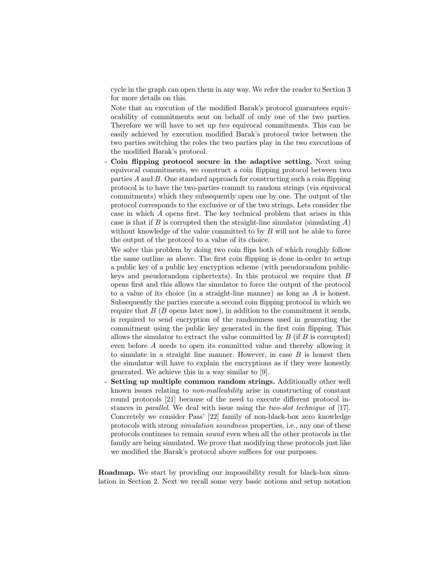cycle in the graph can open them in any way. We refer the reader to Section 3 for more details on this.

Note that an execution of the modified Barak's protocol guarantees equivocability of commitments sent on behalf of only one of the two parties. Therefore we will have to set up two equivocal commitments. This can be easily achieved by execution modified Barak's protocol twice between the two parties switching the roles the two parties play in the two executions of the modified Barak's protocol.

- Coin flipping protocol secure in the adaptive setting. Next using equivocal commitments, we construct a coin flipping protocol between two parties  $A$  and  $B$ . One standard approach for constructing such a coin flipping protocol is to have the two-parties commit to random strings (via equivocal commitments) which they subsequently open one by one. The output of the protocol corresponds to the exclusive or of the two strings. Lets consider the case in which A opens first. The key technical problem that arises in this case is that if B is corrupted then the straight-line simulator (simulating  $A$ ) without knowledge of the value committed to by  $B$  will not be able to force the output of the protocol to a value of its choice.

We solve this problem by doing two coin flips both of which roughly follow the same outline as above. The first coin flipping is done in-order to setup a public key of a public key encryption scheme (with pseudorandom publickeys and pseudorandom ciphertexts). In this protocol we require that B opens first and this allows the simulator to force the output of the protocol to a value of its choice (in a straight-line manner) as long as A is honest. Subsequently the parties execute a second coin flipping protocol in which we require that  $B(B)$  opens later now), in addition to the commitment it sends, is required to send encryption of the randomness used in generating the commitment using the public key generated in the first coin flipping. This allows the simulator to extract the value committed by  $B$  (if  $B$  is corrupted) even before A needs to open its committed value and thereby allowing it to simulate in a straight line manner. However, in case  $B$  is honest then the simulator will have to explain the encryptions as if they were honestly generated. We achieve this in a way similar to [9].

Setting up multiple common random strings. Additionally other well known issues relating to non-malleability arise in constructing of constant round protocols [21] because of the need to execute different protocol instances in parallel. We deal with issue using the two-slot technique of [17]. Concretely we consider Pass' [22] family of non-black-box zero knowledge protocols with strong simulation soundness properties, i.e., any one of these protocols continues to remain sound even when all the other protocols in the family are being simulated. We prove that modifying these protocols just like we modified the Barak's protocol above suffices for our purposes.

Roadmap. We start by providing our impossibility result for black-box simulation in Section 2. Next we recall some very basic notions and setup notation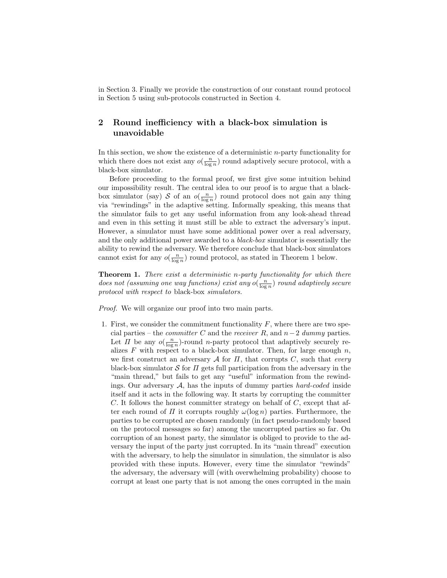in Section 3. Finally we provide the construction of our constant round protocol in Section 5 using sub-protocols constructed in Section 4.

## 2 Round inefficiency with a black-box simulation is unavoidable

In this section, we show the existence of a deterministic  $n$ -party functionality for which there does not exist any  $o(\frac{n}{\log n})$  round adaptively secure protocol, with a black-box simulator.

Before proceeding to the formal proof, we first give some intuition behind our impossibility result. The central idea to our proof is to argue that a blackbox simulator (say) S of an  $o(\frac{n}{\log n})$  round protocol does not gain any thing via "rewindings" in the adaptive setting. Informally speaking, this means that the simulator fails to get any useful information from any look-ahead thread and even in this setting it must still be able to extract the adversary's input. However, a simulator must have some additional power over a real adversary, and the only additional power awarded to a black-box simulator is essentially the ability to rewind the adversary. We therefore conclude that black-box simulators cannot exist for any  $o(\frac{n}{\log n})$  round protocol, as stated in Theorem 1 below.

**Theorem 1.** There exist a deterministic n-party functionality for which there does not (assuming one way functions) exist any  $o(\frac{n}{\log n})$  round adaptively secure protocol with respect to black-box simulators.

Proof. We will organize our proof into two main parts.

1. First, we consider the commitment functionality  $F$ , where there are two special parties – the *committer* C and the *receiver* R, and  $n-2$  dummy parties. Let  $\Pi$  be any  $o(\frac{n}{\log n})$ -round *n*-party protocol that adaptively securely realizes  $F$  with respect to a black-box simulator. Then, for large enough  $n$ , we first construct an adversary  $\mathcal A$  for  $\Pi$ , that corrupts C, such that every black-box simulator S for  $\Pi$  gets full participation from the adversary in the "main thread," but fails to get any "useful" information from the rewindings. Our adversary  $A$ , has the inputs of dummy parties hard-coded inside itself and it acts in the following way. It starts by corrupting the committer C. It follows the honest committer strategy on behalf of  $C$ , except that after each round of  $\Pi$  it corrupts roughly  $\omega(\log n)$  parties. Furthermore, the parties to be corrupted are chosen randomly (in fact pseudo-randomly based on the protocol messages so far) among the uncorrupted parties so far. On corruption of an honest party, the simulator is obliged to provide to the adversary the input of the party just corrupted. In its "main thread" execution with the adversary, to help the simulator in simulation, the simulator is also provided with these inputs. However, every time the simulator "rewinds" the adversary, the adversary will (with overwhelming probability) choose to corrupt at least one party that is not among the ones corrupted in the main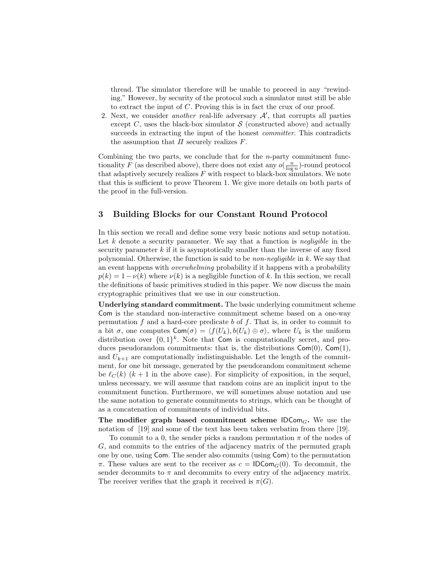thread. The simulator therefore will be unable to proceed in any "rewinding." However, by security of the protocol such a simulator must still be able to extract the input of C. Proving this is in fact the crux of our proof.

2. Next, we consider *another* real-life adversary  $A'$ , that corrupts all parties except  $C$ , uses the black-box simulator  $S$  (constructed above) and actually succeeds in extracting the input of the honest *committer*. This contradicts the assumption that  $\Pi$  securely realizes  $F$ .

Combining the two parts, we conclude that for the  $n$ -party commitment functionality F (as described above), there does not exist any  $o(\frac{n}{\log n})$ -round protocol that adaptively securely realizes  $F$  with respect to black-box simulators. We note that this is sufficient to prove Theorem 1. We give more details on both parts of the proof in the full-version.

## 3 Building Blocks for our Constant Round Protocol

In this section we recall and define some very basic notions and setup notation. Let  $k$  denote a security parameter. We say that a function is negligible in the security parameter  $k$  if it is asymptotically smaller than the inverse of any fixed polynomial. Otherwise, the function is said to be *non-negligible* in  $k$ . We say that an event happens with overwhelming probability if it happens with a probability  $p(k) = 1 - \nu(k)$  where  $\nu(k)$  is a negligible function of k. In this section, we recall the definitions of basic primitives studied in this paper. We now discuss the main cryptographic primitives that we use in our construction.

Underlying standard commitment. The basic underlying commitment scheme Com is the standard non-interactive commitment scheme based on a one-way permutation  $f$  and a hard-core predicate  $b$  of  $f$ . That is, in order to commit to a bit  $\sigma$ , one computes  $\mathsf{Com}(\sigma) = \langle f(U_k), b(U_k) \oplus \sigma \rangle$ , where  $U_k$  is the uniform distribution over  $\{0,1\}^k$ . Note that Com is computationally secret, and produces pseudorandom commitments: that is, the distributions  $Com(0)$ ,  $Com(1)$ , and  $U_{k+1}$  are computationally indistinguishable. Let the length of the commitment, for one bit message, generated by the pseudorandom commitment scheme be  $\ell_C (k)$   $(k + 1$  in the above case). For simplicity of exposition, in the sequel, unless necessary, we will assume that random coins are an implicit input to the commitment function. Furthermore, we will sometimes abuse notation and use the same notation to generate commitments to strings, which can be thought of as a concatenation of commitments of individual bits.

The modifier graph based commitment scheme  $\mathsf{IDCom}_G$ . We use the notation of [19] and some of the text has been taken verbatim from there [19].

To commit to a 0, the sender picks a random permutation  $\pi$  of the nodes of G, and commits to the entries of the adjacency matrix of the permuted graph one by one, using Com. The sender also commits (using Com) to the permutation  $\pi$ . These values are sent to the receiver as  $c = \mathsf{IDCom}_G(0)$ . To decommit, the sender decommits to  $\pi$  and decommits to every entry of the adjacency matrix. The receiver verifies that the graph it received is  $\pi(G)$ .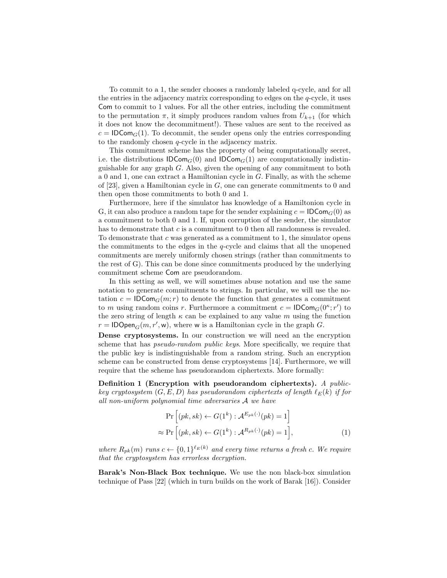To commit to a 1, the sender chooses a randomly labeled q-cycle, and for all the entries in the adjacency matrix corresponding to edges on the  $q$ -cycle, it uses Com to commit to 1 values. For all the other entries, including the commitment to the permutation  $\pi$ , it simply produces random values from  $U_{k+1}$  (for which it does not know the decommitment!). These values are sent to the received as  $c = \text{IDCom}_G(1)$ . To decommit, the sender opens only the entries corresponding to the randomly chosen q-cycle in the adjacency matrix.

This commitment scheme has the property of being computationally secret, i.e. the distributions  $\mathsf{IDCom}_G(0)$  and  $\mathsf{IDCom}_G(1)$  are computationally indistinguishable for any graph G. Also, given the opening of any commitment to both a 0 and 1, one can extract a Hamiltonian cycle in G. Finally, as with the scheme of [23], given a Hamiltonian cycle in  $G$ , one can generate commitments to 0 and then open those commitments to both 0 and 1.

Furthermore, here if the simulator has knowledge of a Hamiltonion cycle in G, it can also produce a random tape for the sender explaining  $c = \mathsf{IDCom}_G(0)$  as a commitment to both 0 and 1. If, upon corruption of the sender, the simulator has to demonstrate that  $c$  is a commitment to 0 then all randomness is revealed. To demonstrate that  $c$  was generated as a commitment to 1, the simulator opens the commitments to the edges in the  $q$ -cycle and claims that all the unopened commitments are merely uniformly chosen strings (rather than commitments to the rest of G). This can be done since commitments produced by the underlying commitment scheme Com are pseudorandom.

In this setting as well, we will sometimes abuse notation and use the same notation to generate commitments to strings. In particular, we will use the notation  $c = \mathsf{IDCom}_G(m; r)$  to denote the function that generates a commitment to m using random coins r. Furthermore a commitment  $c = \mathsf{IDCom}_G(0^{\kappa}; r')$  to the zero string of length  $\kappa$  can be explained to any value m using the function  $r = \mathsf{IDOpen}_G(m, r', \mathsf{w})$ , where  $\mathsf{w}$  is a Hamiltonian cycle in the graph  $G$ .

Dense cryptosystems. In our construction we will need an the encryption scheme that has *pseudo-random public keys*. More specifically, we require that the public key is indistinguishable from a random string. Such an encryption scheme can be constructed from dense cryptosystems [14]. Furthermore, we will require that the scheme has pseudorandom ciphertexts. More formally:

Definition 1 (Encryption with pseudorandom ciphertexts). A publickey cryptosystem  $(G, E, D)$  has pseudorandom ciphertexts of length  $\ell_E(k)$  if for all non-uniform polynomial time adversaries A we have

$$
\Pr\left[(pk, sk) \leftarrow G(1^k) : \mathcal{A}^{E_{pk}(\cdot)}(pk) = 1\right] \\
\approx \Pr\left[(pk, sk) \leftarrow G(1^k) : \mathcal{A}^{R_{pk}(\cdot)}(pk) = 1\right],\n\tag{1}
$$

where  $R_{pk}(m)$  runs  $c \leftarrow \{0,1\}^{\ell_E(k)}$  and every time returns a fresh c. We require that the cryptosystem has errorless decryption.

Barak's Non-Black Box technique. We use the non black-box simulation technique of Pass [22] (which in turn builds on the work of Barak [16]). Consider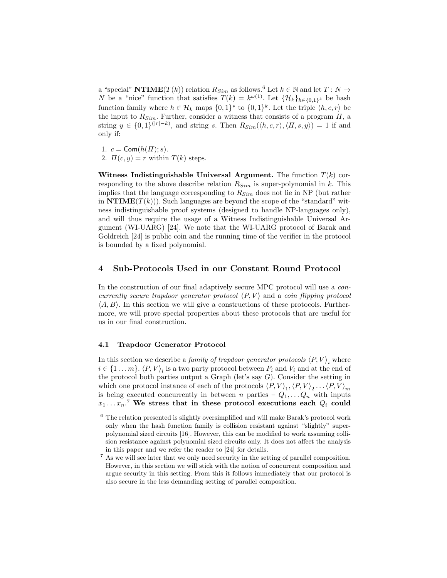a "special" **NTIME** $(T(k))$  relation  $R_{Sim}$  as follows.<sup>6</sup> Let  $k \in \mathbb{N}$  and let  $T: N \to$ N be a "nice" function that satisfies  $T(k) = k^{\omega(1)}$ . Let  $\{\mathcal{H}_k\}_{k \in \{0,1\}^k}$  be hash function family where  $h \in \mathcal{H}_k$  maps  $\{0,1\}^*$  to  $\{0,1\}^k$ . Let the triple  $\langle h, c, r \rangle$  be the input to  $R_{Sim}$ . Further, consider a witness that consists of a program  $\Pi$ , a string  $y \in \{0,1\}^{(|r|-k)}$ , and string s. Then  $R_{Sim}(\langle h,c,r \rangle, \langle H, s, y \rangle) = 1$  if and only if:

1.  $c = \text{Com}(h(\Pi); s)$ .

2.  $\Pi(c, y) = r$  within  $T(k)$  steps.

Witness Indistinguishable Universal Argument. The function  $T(k)$  corresponding to the above describe relation  $R_{Sim}$  is super-polynomial in k. This implies that the language corresponding to  $R_{Sim}$  does not lie in NP (but rather in  $\mathbf{NTIME}(T(k))$ . Such languages are beyond the scope of the "standard" witness indistinguishable proof systems (designed to handle NP-languages only), and will thus require the usage of a Witness Indistinguishable Universal Argument (WI-UARG) [24]. We note that the WI-UARG protocol of Barak and Goldreich [24] is public coin and the running time of the verifier in the protocol is bounded by a fixed polynomial.

## 4 Sub-Protocols Used in our Constant Round Protocol

In the construction of our final adaptively secure MPC protocol will use a concurrently secure trapdoor generator protocol  $\langle P, V \rangle$  and a coin flipping protocol  $\langle A, B \rangle$ . In this section we will give a constructions of these protocols. Furthermore, we will prove special properties about these protocols that are useful for us in our final construction.

#### 4.1 Trapdoor Generator Protocol

In this section we describe a *family of trapdoor generator protocols*  $\langle P, V \rangle_i$  where  $i \in \{1 \dots m\}$ .  $\langle P, V \rangle_i$  is a two party protocol between  $P_i$  and  $V_i$  and at the end of the protocol both parties output a Graph (let's say  $G$ ). Consider the setting in which one protocol instance of each of the protocols  $\langle P,V\rangle_1, \langle P,V\rangle_2 \ldots \langle P,V\rangle_m$ is being executed concurrently in between n parties  $-Q_1, \ldots Q_n$  with inputs  $x_1 \ldots x_n$ .<sup>7</sup> We stress that in these protocol executions each  $Q_i$  could

<sup>6</sup> The relation presented is slightly oversimplified and will make Barak's protocol work only when the hash function family is collision resistant against "slightly" superpolynomial sized circuits [16]. However, this can be modified to work assuming collision resistance against polynomial sized circuits only. It does not affect the analysis in this paper and we refer the reader to [24] for details.

<sup>7</sup> As we will see later that we only need security in the setting of parallel composition. However, in this section we will stick with the notion of concurrent composition and argue security in this setting. From this it follows immediately that our protocol is also secure in the less demanding setting of parallel composition.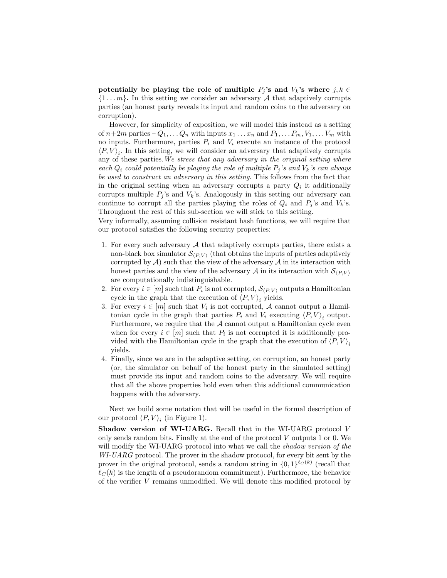potentially be playing the role of multiple  $P_i$ 's and  $V_k$ 's where  $j, k \in$  $\{1 \dots m\}$ . In this setting we consider an adversary A that adaptively corrupts parties (an honest party reveals its input and random coins to the adversary on corruption).

However, for simplicity of exposition, we will model this instead as a setting of  $n+2m$  parties  $-Q_1, \ldots Q_n$  with inputs  $x_1 \ldots x_n$  and  $P_1, \ldots P_m, V_1, \ldots V_m$  with no inputs. Furthermore, parties  $P_i$  and  $V_i$  execute an instance of the protocol  $\langle P, V \rangle_i$ . In this setting, we will consider an adversary that adaptively corrupts any of these parties.We stress that any adversary in the original setting where each  $Q_i$  could potentially be playing the role of multiple  $P_j$ 's and  $V_k$ 's can always be used to construct an adversary in this setting. This follows from the fact that in the original setting when an adversary corrupts a party  $Q_i$  it additionally corrupts multiple  $P_i$ 's and  $V_k$ 's. Analogously in this setting our adversary can continue to corrupt all the parties playing the roles of  $Q_i$  and  $P_j$ 's and  $V_k$ 's. Throughout the rest of this sub-section we will stick to this setting.

Very informally, assuming collision resistant hash functions, we will require that our protocol satisfies the following security properties:

- 1. For every such adversary  $A$  that adaptively corrupts parties, there exists a non-black box simulator  $\mathcal{S}_{(P,V)}$  (that obtains the inputs of parties adaptively corrupted by  $A$ ) such that the view of the adversary  $A$  in its interaction with honest parties and the view of the adversary A in its interaction with  $\mathcal{S}_{(P,V)}$ are computationally indistinguishable.
- 2. For every  $i \in [m]$  such that  $P_i$  is not corrupted,  $\mathcal{S}_{\langle P,V\rangle}$  outputs a Hamiltonian cycle in the graph that the execution of  $\langle P, V \rangle_i$  yields.
- 3. For every  $i \in [m]$  such that  $V_i$  is not corrupted, A cannot output a Hamiltonian cycle in the graph that parties  $P_i$  and  $V_i$  executing  $\langle P, V \rangle_i$  output. Furthermore, we require that the  $A$  cannot output a Hamiltonian cycle even when for every  $i \in [m]$  such that  $P_i$  is not corrupted it is additionally provided with the Hamiltonian cycle in the graph that the execution of  $\langle P, V \rangle_i$ yields.
- 4. Finally, since we are in the adaptive setting, on corruption, an honest party (or, the simulator on behalf of the honest party in the simulated setting) must provide its input and random coins to the adversary. We will require that all the above properties hold even when this additional communication happens with the adversary.

Next we build some notation that will be useful in the formal description of our protocol  $\langle P, V \rangle_i$  (in Figure 1).

Shadow version of WI-UARG. Recall that in the WI-UARG protocol V only sends random bits. Finally at the end of the protocol V outputs 1 or 0. We will modify the WI-UARG protocol into what we call the *shadow version of the* WI-UARG protocol. The prover in the shadow protocol, for every bit sent by the prover in the original protocol, sends a random string in  $\{0,1\}^{\ell_C(k)}$  (recall that  $\ell_C (k)$  is the length of a pseudorandom commitment). Furthermore, the behavior of the verifier V remains unmodified. We will denote this modified protocol by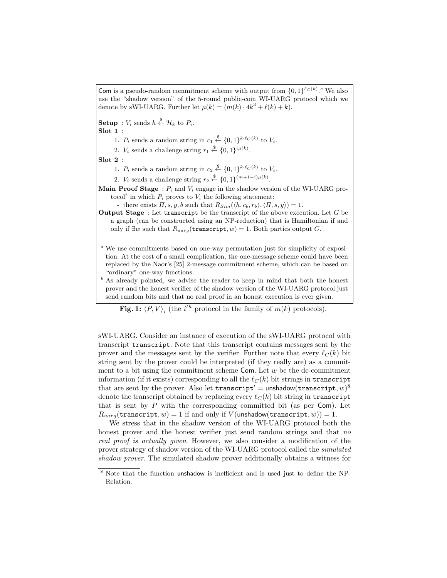Com is a pseudo-random commitment scheme with output from  $\{0,1\}^{\ell_C(k)}$ .<sup>*a*</sup> We also use the "shadow version" of the 5-round public-coin WI-UARG protocol which we denote by sWI-UARG. Further let  $\mu(k) = (m(k) \cdot 4k^3 + \ell(k) + k)$ .

**Setup** :  $V_i$  sends  $h \overset{\$}{\leftarrow} \mathcal{H}_k$  to  $P_i$ . Slot 1 :

1.  $P_i$  sends a random string in  $c_1 \stackrel{\$}{\leftarrow} \{0,1\}^{k \cdot \ell_C(k)}$  to  $V_i$ .

2.  $V_i$  sends a challenge string  $r_1 \stackrel{\$}{\leftarrow} \{0,1\}^{i\mu(k)}$ .

Slot 2 :

- 1.  $P_i$  sends a random string in  $c_2 \stackrel{\$}{\leftarrow} \{0,1\}^{k \cdot \ell_C(k)}$  to  $V_i$ .
- 2.  $V_i$  sends a challenge string  $r_2 \stackrel{\$}{\leftarrow} \{0,1\}^{(m+1-i)\mu(k)}$ .

**Main Proof Stage** :  $P_i$  and  $V_i$  engage in the shadow version of the WI-UARG protocol<sup>b</sup> in which  $P_i$  proves to  $V_i$  the following statement:

- there exists  $\Pi$ , s, y, b such that  $R_{Sim}(\langle h, c_b, r_b \rangle, \langle H, s, y \rangle) = 1$ .

**Output Stage** : Let transcript be the transcript of the above execution. Let  $G$  be a graph (can be constructed using an NP-reduction) that is Hamiltonian if and only if  $\exists w$  such that  $R_{uarg}$ (transcript, w) = 1. Both parties output G.

 $b$  As already pointed, we advise the reader to keep in mind that both the honest prover and the honest verifier of the shadow version of the WI-UARG protocol just send random bits and that no real proof in an honest execution is ever given.

**Fig. 1:**  $\langle P, V \rangle_i$  (the *i*<sup>th</sup> protocol in the family of  $m(k)$  protocols).

sWI-UARG. Consider an instance of execution of the sWI-UARG protocol with transcript transcript. Note that this transcript contains messages sent by the prover and the messages sent by the verifier. Further note that every  $\ell_C (k)$  bit string sent by the prover could be interpreted (if they really are) as a commitment to a bit using the commitment scheme  $Com.$  Let  $w$  be the de-commitment information (if it exists) corresponding to all the  $\ell_C (k)$  bit strings in transcript that are sent by the prover. Also let  $\mathtt{transcript}' = \mathsf{unshadow}(\mathtt{transcript}, w)^8$ denote the transcript obtained by replacing every  $\ell_C (k)$  bit string in transcript that is sent by  $P$  with the corresponding committed bit (as per Com). Let  $R_{uarg}(\text{transcript}, w) = 1$  if and only if  $V(\text{unshadow}(\text{transcript}, w)) = 1$ .

We stress that in the shadow version of the WI-UARG protocol both the honest prover and the honest verifier just send random strings and that no real proof is actually given. However, we also consider a modification of the prover strategy of shadow version of the WI-UARG protocol called the simulated shadow prover. The simulated shadow prover additionally obtains a witness for

<sup>a</sup> We use commitments based on one-way permutation just for simplicity of exposition. At the cost of a small complication, the one-message scheme could have been replaced by the Naor's [25] 2-message commitment scheme, which can be based on "ordinary" one-way functions.

<sup>8</sup> Note that the function unshadow is inefficient and is used just to define the NP-Relation.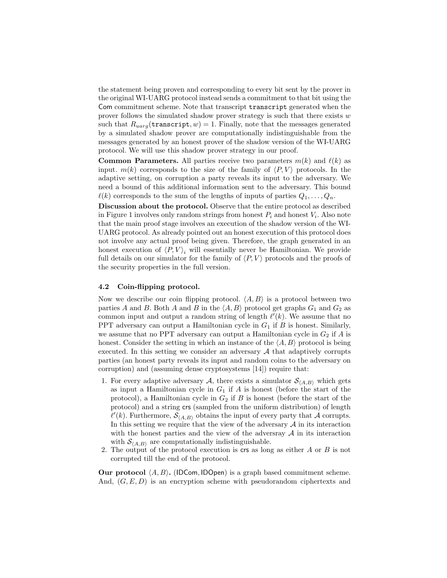the statement being proven and corresponding to every bit sent by the prover in the original WI-UARG protocol instead sends a commitment to that bit using the Com commitment scheme. Note that transcript transcript generated when the prover follows the simulated shadow prover strategy is such that there exists  $w$ such that  $R_{uarg}$ (transcript, w) = 1. Finally, note that the messages generated by a simulated shadow prover are computationally indistinguishable from the messages generated by an honest prover of the shadow version of the WI-UARG protocol. We will use this shadow prover strategy in our proof.

**Common Parameters.** All parties receive two parameters  $m(k)$  and  $\ell(k)$  as input.  $m(k)$  corresponds to the size of the family of  $\langle P, V \rangle$  protocols. In the adaptive setting, on corruption a party reveals its input to the adversary. We need a bound of this additional information sent to the adversary. This bound  $\ell(k)$  corresponds to the sum of the lengths of inputs of parties  $Q_1, \ldots, Q_n$ .

Discussion about the protocol. Observe that the entire protocol as described in Figure 1 involves only random strings from honest  $P_i$  and honest  $V_i$ . Also note that the main proof stage involves an execution of the shadow version of the WI-UARG protocol. As already pointed out an honest execution of this protocol does not involve any actual proof being given. Therefore, the graph generated in an honest execution of  $\langle P, V \rangle_i$  will essentially never be Hamiltonian. We provide full details on our simulator for the family of  $\langle P, V \rangle$  protocols and the proofs of the security properties in the full version.

#### 4.2 Coin-flipping protocol.

Now we describe our coin flipping protocol.  $\langle A, B \rangle$  is a protocol between two parties A and B. Both A and B in the  $\langle A, B \rangle$  protocol get graphs  $G_1$  and  $G_2$  as common input and output a random string of length  $\ell'(k)$ . We assume that no PPT adversary can output a Hamiltonian cycle in  $G_1$  if  $B$  is honest. Similarly, we assume that no PPT adversary can output a Hamiltonian cycle in  $G_2$  if A is honest. Consider the setting in which an instance of the  $\langle A, B \rangle$  protocol is being executed. In this setting we consider an adversary  $A$  that adaptively corrupts parties (an honest party reveals its input and random coins to the adversary on corruption) and (assuming dense cryptosystems [14]) require that:

- 1. For every adaptive adversary A, there exists a simulator  $\mathcal{S}_{(A,B)}$  which gets as input a Hamiltonian cycle in  $G_1$  if A is honest (before the start of the protocol), a Hamiltonian cycle in  $G_2$  if B is honest (before the start of the protocol) and a string crs (sampled from the uniform distribution) of length  $\ell'(k)$ . Furthermore,  $\mathcal{S}_{(A,B)}$  obtains the input of every party that A corrupts. In this setting we require that the view of the adversary  $A$  in its interaction with the honest parties and the view of the adversing  $\mathcal A$  in its interaction with  $\mathcal{S}_{(A,B)}$  are computationally indistinguishable.
- 2. The output of the protocol execution is  $\mathsf{crs}$  as long as either A or B is not corrupted till the end of the protocol.

Our protocol  $\langle A, B \rangle$ . (IDCom, IDOpen) is a graph based commitment scheme. And,  $(G, E, D)$  is an encryption scheme with pseudorandom ciphertexts and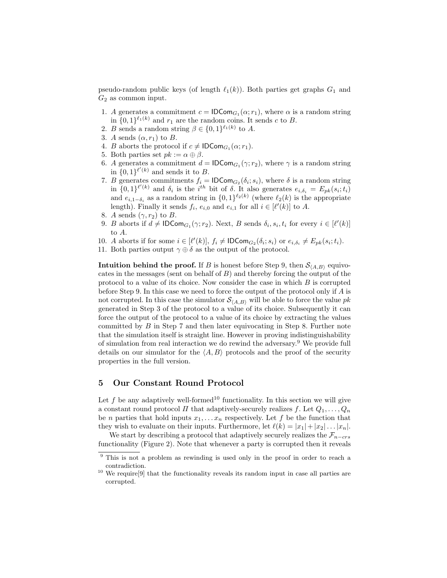pseudo-random public keys (of length  $\ell_1(k)$ ). Both parties get graphs  $G_1$  and  $G_2$  as common input.

- 1. A generates a commitment  $c = \text{IDCom}_{G_1}(\alpha; r_1)$ , where  $\alpha$  is a random string in  $\{0,1\}^{\ell_1(k)}$  and  $r_1$  are the random coins. It sends c to B.
- 2. B sends a random string  $\beta \in \{0,1\}^{\ell_1(k)}$  to A.
- 3. A sends  $(\alpha, r_1)$  to B.
- 4. *B* aborts the protocol if  $c \neq \text{IDCom}_{G_1}(\alpha; r_1)$ .
- 5. Both parties set  $pk := \alpha \oplus \beta$ .
- 6. A generates a commitment  $d = \mathsf{IDCom}_{G_1}(\gamma; r_2)$ , where  $\gamma$  is a random string in  $\{0,1\}^{\ell'(k)}$  and sends it to B.
- 7. B generates commitments  $f_i = \mathsf{IDCom}_{G_2}(\delta_i; s_i)$ , where  $\delta$  is a random string in  $\{0,1\}^{\ell'(k)}$  and  $\delta_i$  is the i<sup>th</sup> bit of  $\delta$ . It also generates  $e_{i,\delta_i} = E_{pk}(s_i; t_i)$ and  $e_{i,1-\delta_i}$  as a random string in  $\{0,1\}^{\ell_2(k)}$  (where  $\ell_2(k)$  is the appropriate length). Finally it sends  $f_i$ ,  $e_{i,0}$  and  $e_{i,1}$  for all  $i \in [\ell'(k)]$  to A.
- 8. A sends  $(\gamma, r_2)$  to B.
- 9. B aborts if  $d \neq \mathsf{IDCom}_{G_1}(\gamma; r_2)$ . Next, B sends  $\delta_i, s_i, t_i$  for every  $i \in [\ell'(k)]$ to A.
- 10. A aborts if for some  $i \in [\ell'(k)], f_i \neq \mathsf{IDCom}_{G_2}(\delta_i; s_i)$  or  $e_{i,\delta_i} \neq E_{pk}(s_i; t_i)$ .
- 11. Both parties output  $\gamma \oplus \delta$  as the output of the protocol.

**Intuition behind the proof.** If B is honest before Step 9, then  $S_{(A,B)}$  equivocates in the messages (sent on behalf of  $B$ ) and thereby forcing the output of the protocol to a value of its choice. Now consider the case in which  $B$  is corrupted before Step 9. In this case we need to force the output of the protocol only if A is not corrupted. In this case the simulator  $\mathcal{S}_{(A,B)}$  will be able to force the value pk generated in Step 3 of the protocol to a value of its choice. Subsequently it can force the output of the protocol to a value of its choice by extracting the values committed by  $B$  in Step 7 and then later equivocating in Step 8. Further note that the simulation itself is straight line. However in proving indistinguishability of simulation from real interaction we do rewind the adversary.<sup>9</sup> We provide full details on our simulator for the  $\langle A, B \rangle$  protocols and the proof of the security properties in the full version.

## 5 Our Constant Round Protocol

Let f be any adaptively well-formed<sup>10</sup> functionality. In this section we will give a constant round protocol  $\Pi$  that adaptively-securely realizes f. Let  $Q_1, \ldots, Q_n$ be *n* parties that hold inputs  $x_1, \ldots, x_n$  respectively. Let f be the function that they wish to evaluate on their inputs. Furthermore, let  $\ell(k) = |x_1| + |x_2| \dots |x_n|$ .

We start by describing a protocol that adaptively securely realizes the  $\mathcal{F}_{n-crs}$ functionality (Figure 2). Note that whenever a party is corrupted then it reveals

<sup>&</sup>lt;sup>9</sup> This is not a problem as rewinding is used only in the proof in order to reach a contradiction.

 $10$  We require[9] that the functionality reveals its random input in case all parties are corrupted.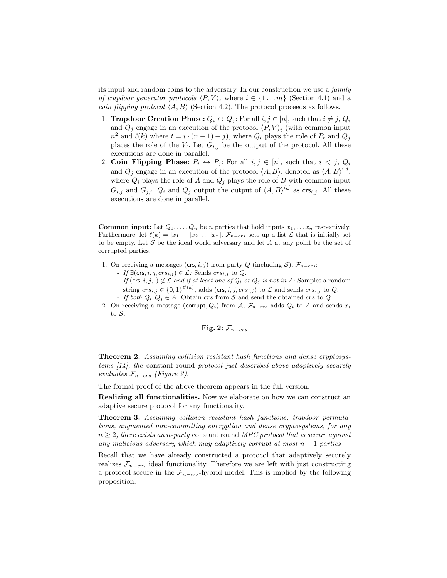its input and random coins to the adversary. In our construction we use a family of trapdoor generator protocols  $\langle P, V \rangle_i$  where  $i \in \{1 \dots m\}$  (Section 4.1) and a *coin flipping protocol*  $\langle A, B \rangle$  (Section 4.2). The protocol proceeds as follows.

- 1. **Trapdoor Creation Phase:**  $Q_i \leftrightarrow Q_j$ : For all  $i, j \in [n]$ , such that  $i \neq j$ ,  $Q_i$ and  $Q_j$  engage in an execution of the protocol  $\langle P, V \rangle_t$  (with common input  $n^2$  and  $\ell(k)$  where  $t = i \cdot (n-1) + j$ , where  $Q_i$  plays the role of  $P_t$  and  $Q_j$ places the role of the  $V_t$ . Let  $G_{i,j}$  be the output of the protocol. All these executions are done in parallel.
- 2. Coin Flipping Phase:  $P_i \leftrightarrow P_j$ : For all  $i, j \in [n]$ , such that  $i < j$ ,  $Q_i$ and  $Q_j$  engage in an execution of the protocol  $\langle A, B \rangle$ , denoted as  $\langle A, B \rangle^{i,j}$ , where  $Q_i$  plays the role of A and  $Q_j$  plays the role of B with common input  $G_{i,j}$  and  $G_{j,i}$ .  $Q_i$  and  $Q_j$  output the output of  $\langle A, B \rangle^{i,j}$  as  $\mathsf{crs}_{i,j}$ . All these executions are done in parallel.

**Common input:** Let  $Q_1, \ldots, Q_n$  be *n* parties that hold inputs  $x_1, \ldots, x_n$  respectively. Furthermore, let  $\ell(k) = |x_1| + |x_2| \dots |x_n|$ .  $\mathcal{F}_{n-crs}$  sets up a list  $\mathcal L$  that is initially set to be empty. Let  $\mathcal S$  be the ideal world adversary and let  $A$  at any point be the set of corrupted parties.

1. On receiving a messages (crs, i, j) from party Q (including S),  $\mathcal{F}_{n-crs}$ :

- If  $\exists(\text{crs}, i, j, crs_{i,j}) \in \mathcal{L}$ : Sends  $crs_{i,j}$  to  $Q$ .
	- If  $(\text{crs}, i, j, \cdot) \notin \mathcal{L}$  and if at least one of  $Q_i$  or  $Q_j$  is not in A: Samples a random string  $crs_{i,j} \in \{0,1\}^{\ell'(k)}$ , adds  $(\text{crs}, i, j, crs_{i,j})$  to  $\mathcal L$  and sends  $crs_{i,j}$  to  $Q$ .
	- If both  $Q_i, Q_j \in A$ : Obtain crs from S and send the obtained crs to Q.
- 2. On receiving a message (corrupt,  $Q_i$ ) from A,  $\mathcal{F}_{n-crs}$  adds  $Q_i$  to A and sends  $x_i$ to S.

$$
\text{Fig. 2: } \mathcal{F}_{n-crs}
$$

Theorem 2. Assuming collision resistant hash functions and dense cryptosystems [14], the constant round protocol just described above adaptively securely evaluates  $\mathcal{F}_{n-crs}$  (Figure 2).

The formal proof of the above theorem appears in the full version.

Realizing all functionalities. Now we elaborate on how we can construct an adaptive secure protocol for any functionality.

Theorem 3. Assuming collision resistant hash functions, trapdoor permutations, augmented non-committing encryption and dense cryptosystems, for any  $n \geq 2$ , there exists an n-party constant round MPC protocol that is secure against any malicious adversary which may adaptively corrupt at most  $n-1$  parties

Recall that we have already constructed a protocol that adaptively securely realizes  $\mathcal{F}_{n-crs}$  ideal functionality. Therefore we are left with just constructing a protocol secure in the  $\mathcal{F}_{n-crs}$ -hybrid model. This is implied by the following proposition.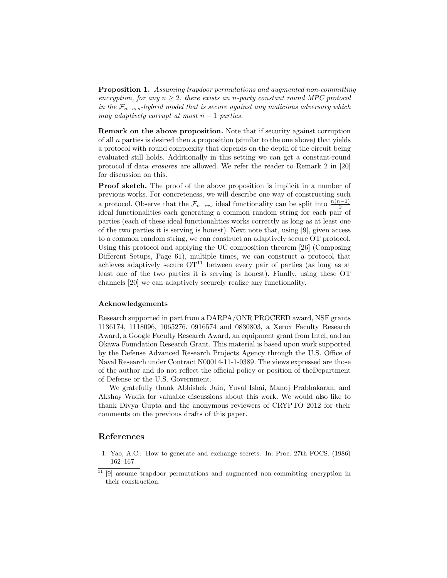Proposition 1. Assuming trapdoor permutations and augmented non-committing encryption, for any  $n \geq 2$ , there exists an n-party constant round MPC protocol in the  $\mathcal{F}_{n-crs}$ -hybrid model that is secure against any malicious adversary which may adaptively corrupt at most  $n-1$  parties.

Remark on the above proposition. Note that if security against corruption of all  $n$  parties is desired then a proposition (similar to the one above) that yields a protocol with round complexity that depends on the depth of the circuit being evaluated still holds. Additionally in this setting we can get a constant-round protocol if data erasures are allowed. We refer the reader to Remark 2 in [20] for discussion on this.

**Proof sketch.** The proof of the above proposition is implicit in a number of previous works. For concreteness, we will describe one way of constructing such a protocol. Observe that the  $\mathcal{F}_{n-crs}$  ideal functionality can be split into  $\frac{n(n-1)}{2}$ ideal functionalities each generating a common random string for each pair of parties (each of these ideal functionalities works correctly as long as at least one of the two parties it is serving is honest). Next note that, using [9], given access to a common random string, we can construct an adaptively secure OT protocol. Using this protocol and applying the UC composition theorem [26] (Composing Different Setups, Page 61), multiple times, we can construct a protocol that achieves adaptively secure  $OT^{11}$  between every pair of parties (as long as at least one of the two parties it is serving is honest). Finally, using these OT channels [20] we can adaptively securely realize any functionality.

#### Acknowledgements

Research supported in part from a DARPA/ONR PROCEED award, NSF grants 1136174, 1118096, 1065276, 0916574 and 0830803, a Xerox Faculty Research Award, a Google Faculty Research Award, an equipment grant from Intel, and an Okawa Foundation Research Grant. This material is based upon work supported by the Defense Advanced Research Projects Agency through the U.S. Office of Naval Research under Contract N00014-11-1-0389. The views expressed are those of the author and do not reflect the official policy or position of theDepartment of Defense or the U.S. Government.

We gratefully thank Abhishek Jain, Yuval Ishai, Manoj Prabhakaran, and Akshay Wadia for valuable discussions about this work. We would also like to thank Divya Gupta and the anonymous reviewers of CRYPTO 2012 for their comments on the previous drafts of this paper.

### References

1. Yao, A.C.: How to generate and exchange secrets. In: Proc. 27th FOCS. (1986) 162–167

<sup>&</sup>lt;sup>11</sup> [9] assume trapdoor permutations and augmented non-committing encryption in their construction.